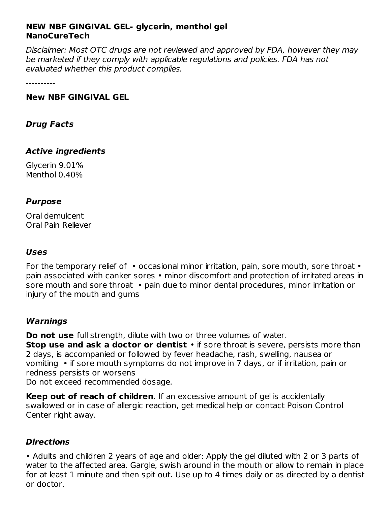# **NEW NBF GINGIVAL GEL- glycerin, menthol gel NanoCureTech**

Disclaimer: Most OTC drugs are not reviewed and approved by FDA, however they may be marketed if they comply with applicable regulations and policies. FDA has not evaluated whether this product complies.

----------

#### **New NBF GINGIVAL GEL**

### **Drug Facts**

### **Active ingredients**

Glycerin 9.01% Menthol 0.40%

#### **Purpose**

Oral demulcent Oral Pain Reliever

### **Uses**

For the temporary relief of • occasional minor irritation, pain, sore mouth, sore throat • pain associated with canker sores • minor discomfort and protection of irritated areas in sore mouth and sore throat • pain due to minor dental procedures, minor irritation or injury of the mouth and gums

### **Warnings**

**Do not use** full strength, dilute with two or three volumes of water. **Stop use and ask a doctor or dentist** • if sore throat is severe, persists more than 2 days, is accompanied or followed by fever headache, rash, swelling, nausea or vomiting • if sore mouth symptoms do not improve in 7 days, or if irritation, pain or redness persists or worsens Do not exceed recommended dosage.

**Keep out of reach of children**. If an excessive amount of gel is accidentally swallowed or in case of allergic reaction, get medical help or contact Poison Control Center right away.

### **Directions**

• Adults and children 2 years of age and older: Apply the gel diluted with 2 or 3 parts of water to the affected area. Gargle, swish around in the mouth or allow to remain in place for at least 1 minute and then spit out. Use up to 4 times daily or as directed by a dentist or doctor.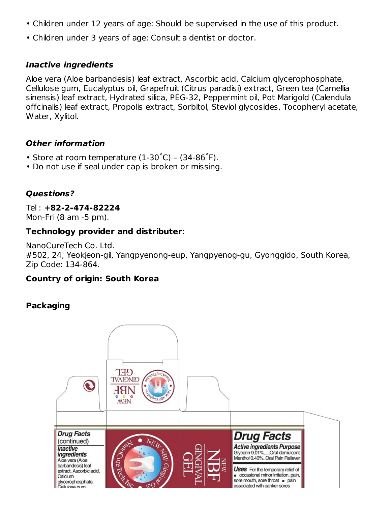- Children under 12 years of age: Should be supervised in the use of this product.
- Children under 3 years of age: Consult a dentist or doctor.

# **Inactive ingredients**

Aloe vera (Aloe barbandesis) leaf extract, Ascorbic acid, Calcium glycerophosphate, Cellulose gum, Eucalyptus oil, Grapefruit (Citrus paradisi) extract, Green tea (Camellia sinensis) leaf extract, Hydrated silica, PEG-32, Peppermint oil, Pot Marigold (Calendula offcinalis) leaf extract, Propolis extract, Sorbitol, Steviol glycosides, Tocopheryl acetate, Water, Xylitol.

# **Other information**

- Store at room temperature  $(1-30^{\circ}C)$   $(34-86^{\circ}F)$ .
- Do not use if seal under cap is broken or missing.

# **Questions?**

Tel : **+82-2-474-82224** Mon-Fri (8 am -5 pm).

## **Technology provider and distributer**:

NanoCureTech Co. Ltd. #502, 24, Yeokjeon-gil, Yangpyenong-eup, Yangpyenog-gu, Gyonggido, South Korea, Zip Code: 134-864.

# **Country of origin: South Korea**

# **Packaging**

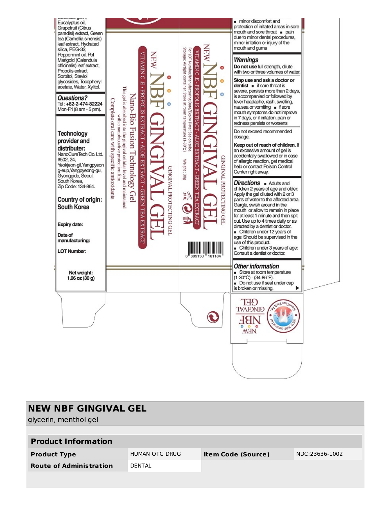

| <b>NEW NBF GINGIVAL GEL</b><br>glycerin, menthol gel |                |                           |                |  |  |  |
|------------------------------------------------------|----------------|---------------------------|----------------|--|--|--|
| <b>Product Information</b>                           |                |                           |                |  |  |  |
| <b>Product Type</b>                                  | HUMAN OTC DRUG | <b>Item Code (Source)</b> | NDC:23636-1002 |  |  |  |
| <b>Route of Administration</b>                       | <b>DENTAL</b>  |                           |                |  |  |  |
|                                                      |                |                           |                |  |  |  |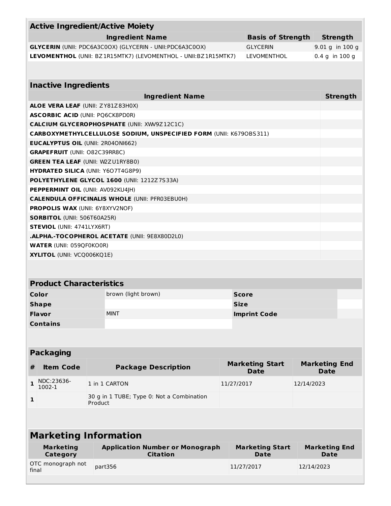| <b>Active Ingredient/Active Moiety</b>        |                                                                    |                          |                  |  |  |
|-----------------------------------------------|--------------------------------------------------------------------|--------------------------|------------------|--|--|
|                                               | <b>Ingredient Name</b>                                             | <b>Basis of Strength</b> | <b>Strength</b>  |  |  |
|                                               | <b>GLYCERIN</b> (UNII: PDC6A3C0OX) (GLYCERIN - UNII:PDC6A3C0OX)    | <b>GLYCERIN</b>          | 9.01 g in 100 g  |  |  |
|                                               | LEVOMENTHOL (UNII: BZ1R15MTK7) (LEVOMENTHOL - UNII: BZ1R15MTK7)    | <b>LEVOMENTHOL</b>       | $0.4 g$ in 100 g |  |  |
|                                               |                                                                    |                          |                  |  |  |
|                                               |                                                                    |                          |                  |  |  |
| <b>Inactive Ingredients</b>                   |                                                                    |                          |                  |  |  |
|                                               | <b>Ingredient Name</b>                                             |                          | <b>Strength</b>  |  |  |
| <b>ALOE VERA LEAF (UNII: ZY81Z83H0X)</b>      |                                                                    |                          |                  |  |  |
| <b>ASCORBIC ACID (UNII: PQ6CK8PD0R)</b>       |                                                                    |                          |                  |  |  |
|                                               | <b>CALCIUM GLYCEROPHOSPHATE (UNII: XWV9Z12C1C)</b>                 |                          |                  |  |  |
|                                               | CARBOXYMETHYLCELLULOSE SODIUM, UNSPECIFIED FORM (UNII: K6790BS311) |                          |                  |  |  |
| <b>EUCALYPTUS OIL (UNII: 2R04ON1662)</b>      |                                                                    |                          |                  |  |  |
| <b>GRAPEFRUIT</b> (UNII: O82C39RR8C)          |                                                                    |                          |                  |  |  |
| <b>GREEN TEA LEAF (UNII: W2ZU1RY8B0)</b>      |                                                                    |                          |                  |  |  |
| <b>HYDRATED SILICA (UNII: Y607T4G8P9)</b>     |                                                                    |                          |                  |  |  |
| POLYETHYLENE GLYCOL 1600 (UNII: 1212Z7S33A)   |                                                                    |                          |                  |  |  |
| PEPPERMINT OIL (UNII: AV092KU4JH)             |                                                                    |                          |                  |  |  |
|                                               | <b>CALENDULA OFFICINALIS WHOLE (UNII: PFR03EBU0H)</b>              |                          |                  |  |  |
| <b>PROPOLIS WAX (UNII: 6Y8XYV2NOF)</b>        |                                                                    |                          |                  |  |  |
| <b>SORBITOL (UNII: 506T60A25R)</b>            |                                                                    |                          |                  |  |  |
| <b>STEVIOL (UNII: 4741LYX6RT)</b>             |                                                                    |                          |                  |  |  |
| .ALPHA.-TOCOPHEROL ACETATE (UNII: 9E8X80D2L0) |                                                                    |                          |                  |  |  |
| <b>WATER (UNII: 059QF0KO0R)</b>               |                                                                    |                          |                  |  |  |
| <b>XYLITOL</b> (UNII: VCQ006KQ1E)             |                                                                    |                          |                  |  |  |
|                                               |                                                                    |                          |                  |  |  |
|                                               |                                                                    |                          |                  |  |  |
| <b>Product Characteristics</b>                |                                                                    |                          |                  |  |  |
| <b>Color</b>                                  | brown (light brown)                                                | <b>Score</b>             |                  |  |  |
| <b>Shape</b>                                  |                                                                    | <b>Size</b>              |                  |  |  |
| Flavor                                        | <b>MINT</b>                                                        | <b>Imprint Code</b>      |                  |  |  |
| <b>Contains</b>                               |                                                                    |                          |                  |  |  |
|                                               |                                                                    |                          |                  |  |  |
|                                               |                                                                    |                          |                  |  |  |

# **Packaging**

| ltem Code                      | <b>Package Description</b>                           | <b>Marketing Start</b><br><b>Date</b> | <b>Marketing End</b><br><b>Date</b> |
|--------------------------------|------------------------------------------------------|---------------------------------------|-------------------------------------|
| $\big _1$ NDC:23636-<br>1002-1 | 1 in 1 CARTON                                        | 11/27/2017                            | 12/14/2023                          |
|                                | 30 g in 1 TUBE; Type 0: Not a Combination<br>Product |                                       |                                     |

# **Marketing Information**

| <b>Marketing</b>           | <b>Application Number or Monograph</b> | <b>Marketing Start</b> | <b>Marketing End</b> |
|----------------------------|----------------------------------------|------------------------|----------------------|
| Category                   | <b>Citation</b>                        | Date                   | Date                 |
| OTC monograph not<br>final | part356                                | 11/27/2017             | 12/14/2023           |